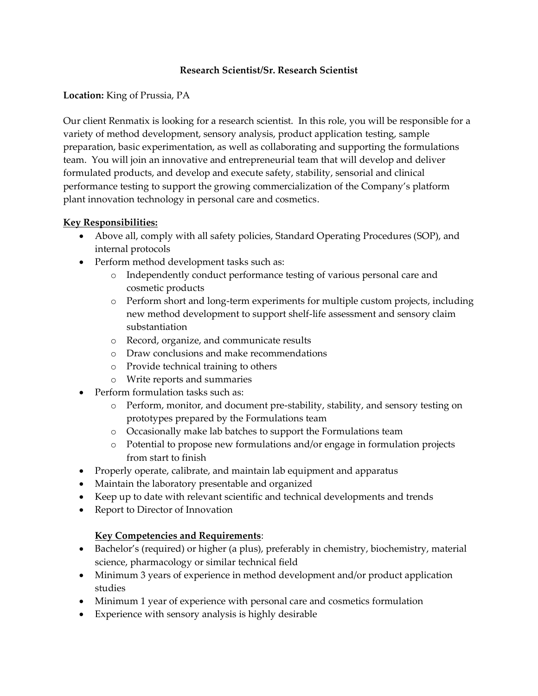#### **Research Scientist/Sr. Research Scientist**

#### **Location:** King of Prussia, PA

Our client Renmatix is looking for a research scientist. In this role, you will be responsible for a variety of method development, sensory analysis, product application testing, sample preparation, basic experimentation, as well as collaborating and supporting the formulations team. You will join an innovative and entrepreneurial team that will develop and deliver formulated products, and develop and execute safety, stability, sensorial and clinical performance testing to support the growing commercialization of the Company's platform plant innovation technology in personal care and cosmetics.

#### **Key Responsibilities:**

- Above all, comply with all safety policies, Standard Operating Procedures (SOP), and internal protocols
- Perform method development tasks such as:
	- o Independently conduct performance testing of various personal care and cosmetic products
	- o Perform short and long-term experiments for multiple custom projects, including new method development to support shelf-life assessment and sensory claim substantiation
	- o Record, organize, and communicate results
	- o Draw conclusions and make recommendations
	- o Provide technical training to others
	- o Write reports and summaries
- Perform formulation tasks such as:
	- o Perform, monitor, and document pre-stability, stability, and sensory testing on prototypes prepared by the Formulations team
	- o Occasionally make lab batches to support the Formulations team
	- o Potential to propose new formulations and/or engage in formulation projects from start to finish
- Properly operate, calibrate, and maintain lab equipment and apparatus
- Maintain the laboratory presentable and organized
- Keep up to date with relevant scientific and technical developments and trends
- Report to Director of Innovation

# **Key Competencies and Requirements**:

- Bachelor's (required) or higher (a plus), preferably in chemistry, biochemistry, material science, pharmacology or similar technical field
- Minimum 3 years of experience in method development and/or product application studies
- Minimum 1 year of experience with personal care and cosmetics formulation
- Experience with sensory analysis is highly desirable